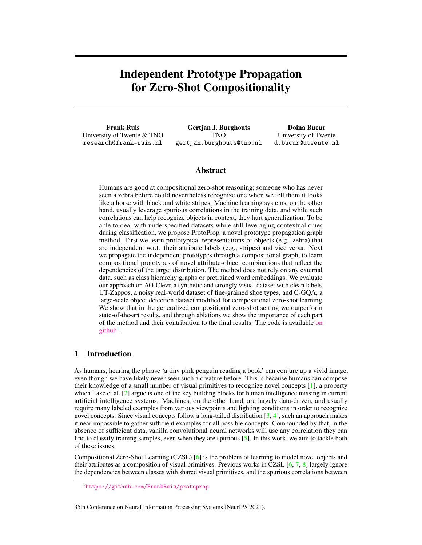# Independent Prototype Propagation for Zero-Shot Compositionality

Frank Ruis University of Twente & TNO research@frank-ruis.nl

Gertjan J. Burghouts TNO gertjan.burghouts@tno.nl

Doina Bucur University of Twente d.bucur@utwente.nl

## Abstract

Humans are good at compositional zero-shot reasoning; someone who has never seen a zebra before could nevertheless recognize one when we tell them it looks like a horse with black and white stripes. Machine learning systems, on the other hand, usually leverage spurious correlations in the training data, and while such correlations can help recognize objects in context, they hurt generalization. To be able to deal with underspecified datasets while still leveraging contextual clues during classification, we propose ProtoProp, a novel prototype propagation graph method. First we learn prototypical representations of objects (e.g., zebra) that are independent w.r.t. their attribute labels (e.g., stripes) and vice versa. Next we propagate the independent prototypes through a compositional graph, to learn compositional prototypes of novel attribute-object combinations that reflect the dependencies of the target distribution. The method does not rely on any external data, such as class hierarchy graphs or pretrained word embeddings. We evaluate our approach on AO-Clevr, a synthetic and strongly visual dataset with clean labels, UT-Zappos, a noisy real-world dataset of fine-grained shoe types, and C-GQA, a large-scale object detection dataset modified for compositional zero-shot learning. We show that in the generalized compositional zero-shot setting we outperform state-of-the-art results, and through ablations we show the importance of each part of the method and their contribution to the final results. The code is available [on](https://github.com/FrankRuis/protoprop)  $g$ ithub<sup>[1](#page-0-0)</sup>.

# 1 Introduction

As humans, hearing the phrase 'a tiny pink penguin reading a book' can conjure up a vivid image, even though we have likely never seen such a creature before. This is because humans can compose their knowledge of a small number of visual primitives to recognize novel concepts [\[1\]](#page-10-0), a property which Lake et al. [\[2\]](#page-10-1) argue is one of the key building blocks for human intelligence missing in current artificial intelligence systems. Machines, on the other hand, are largely data-driven, and usually require many labeled examples from various viewpoints and lighting conditions in order to recognize novel concepts. Since visual concepts follow a long-tailed distribution  $[3, 4]$  $[3, 4]$  $[3, 4]$ , such an approach makes it near impossible to gather sufficient examples for all possible concepts. Compounded by that, in the absence of sufficient data, vanilla convolutional neural networks will use any correlation they can find to classify training samples, even when they are spurious [\[5\]](#page-10-4). In this work, we aim to tackle both of these issues.

Compositional Zero-Shot Learning (CZSL) [\[6\]](#page-10-5) is the problem of learning to model novel objects and their attributes as a composition of visual primitives. Previous works in CZSL [\[6,](#page-10-5) [7,](#page-10-6) [8\]](#page-10-7) largely ignore the dependencies between classes with shared visual primitives, and the spurious correlations between

35th Conference on Neural Information Processing Systems (NeurIPS 2021).

<span id="page-0-0"></span><sup>1</sup> <https://github.com/FrankRuis/protoprop>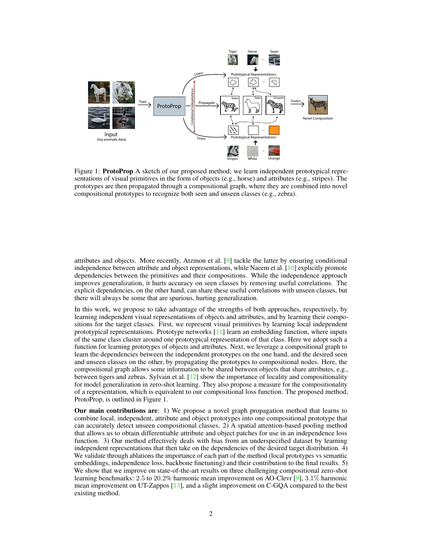

Figure 1: **ProtoProp** A sketch of our proposed method; we learn independent prototypical representations of visual primitives in the form of objects (e.g., horse) and attributes (e.g., stripes). The prototypes are then propagated through a compositional graph, where they are combined into novel compositional prototypes to recognize both seen and unseen classes (e.g., zebra).

attributes and objects. More recently, Atzmon et al. [\[9\]](#page-10-8) tackle the latter by ensuring conditional independence between attribute and object representations, while Naeem et al. [\[10\]](#page-10-9) explicitly promote dependencies between the primitives and their compositions. While the independence approach improves generalization, it hurts accuracy on seen classes by removing useful correlations. The explicit dependencies, on the other hand, can share these useful correlations with unseen classes, but there will always be some that are spurious, hurting generalization.

In this work, we propose to take advantage of the strengths of both approaches, respectively, by learning independent visual representations of objects and attributes, and by learning their compositions for the target classes. First, we represent visual primitives by learning local independent prototypical representations. Prototype networks [\[11\]](#page-10-10) learn an embedding function, where inputs of the same class cluster around one prototypical representation of that class. Here we adopt such a function for learning prototypes of objects and attributes. Next, we leverage a compositional graph to learn the dependencies between the independent prototypes on the one hand, and the desired seen and unseen classes on the other, by propagating the prototypes to compositional nodes. Here, the compositional graph allows some information to be shared between objects that share attributes, e.g., between tigers and zebras. Sylvain et al. [\[12\]](#page-10-11) show the importance of locality and compositionality for model generalization in zero-shot learning. They also propose a measure for the compositionality of a representation, which is equivalent to our compositional loss function. The proposed method, ProtoProp, is outlined in Figure 1.

Our main contributions are: 1) We propose a novel graph propagation method that learns to combine local, independent, attribute and object prototypes into one compositional prototype that can accurately detect unseen compositional classes. 2) A spatial attention-based pooling method that allows us to obtain differentiable attribute and object patches for use in an independence loss function. 3) Our method effectively deals with bias from an underspecified dataset by learning independent representations that then take on the dependencies of the desired target distribution. 4) We validate through ablations the importance of each part of the method (local prototypes vs semantic embeddings, independence loss, backbone finetuning) and their contribution to the final results. 5) We show that we improve on state-of-the-art results on three challenging compositional zero-shot learning benchmarks: 2.5 to 20.2% harmonic mean improvement on AO-Clevr  $[9]$ , 3.1% harmonic mean improvement on UT-Zappos [\[13\]](#page-10-12), and a slight improvement on C-GQA compared to the best existing method.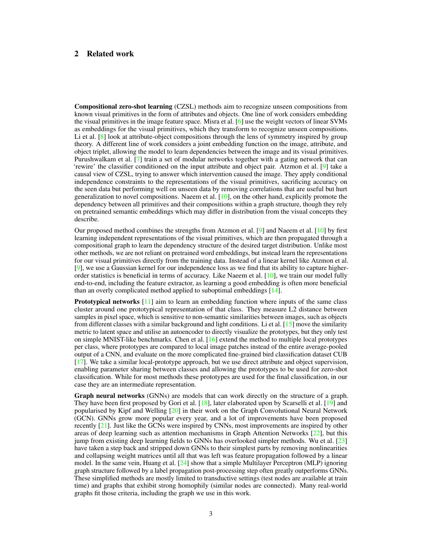# 2 Related work

Compositional zero-shot learning (CZSL) methods aim to recognize unseen compositions from known visual primitives in the form of attributes and objects. One line of work considers embedding the visual primitives in the image feature space. Misra et al. [\[6\]](#page-10-5) use the weight vectors of linear SVMs as embeddings for the visual primitives, which they transform to recognize unseen compositions. Li et al. [\[8\]](#page-10-7) look at attribute-object compositions through the lens of symmetry inspired by group theory. A different line of work considers a joint embedding function on the image, attribute, and object triplet, allowing the model to learn dependencies between the image and its visual primitives. Purushwalkam et al. [\[7\]](#page-10-6) train a set of modular networks together with a gating network that can 'rewire' the classifier conditioned on the input attribute and object pair. Atzmon et al. [\[9\]](#page-10-8) take a causal view of CZSL, trying to answer which intervention caused the image. They apply conditional independence constraints to the representations of the visual primitives, sacrificing accuracy on the seen data but performing well on unseen data by removing correlations that are useful but hurt generalization to novel compositions. Naeem et al.  $[10]$ , on the other hand, explicitly promote the dependency between all primitives and their compositions within a graph structure, though they rely on pretrained semantic embeddings which may differ in distribution from the visual concepts they describe.

Our proposed method combines the strengths from Atzmon et al. [\[9\]](#page-10-8) and Naeem et al. [\[10\]](#page-10-9) by first learning independent representations of the visual primitives, which are then propagated through a compositional graph to learn the dependency structure of the desired target distribution. Unlike most other methods, we are not reliant on pretrained word embeddings, but instead learn the representations for our visual primitives directly from the training data. Instead of a linear kernel like Atzmon et al. [\[9\]](#page-10-8), we use a Gaussian kernel for our independence loss as we find that its ability to capture higherorder statistics is beneficial in terms of accuracy. Like Naeem et al. [\[10\]](#page-10-9), we train our model fully end-to-end, including the feature extractor, as learning a good embedding is often more beneficial than an overly complicated method applied to suboptimal embeddings [\[14\]](#page-10-13).

**Prototypical networks**  $[11]$  aim to learn an embedding function where inputs of the same class cluster around one prototypical representation of that class. They measure L2 distance between samples in pixel space, which is sensitive to non-semantic similarities between images, such as objects from different classes with a similar background and light conditions. Li et al. [\[15\]](#page-10-14) move the similarity metric to latent space and utilise an autoencoder to directly visualize the prototypes, but they only test on simple MNIST-like benchmarks. Chen et al. [\[16\]](#page-10-15) extend the method to multiple local prototypes per class, where prototypes are compared to local image patches instead of the entire average-pooled output of a CNN, and evaluate on the more complicated fine-grained bird classification dataset CUB [\[17\]](#page-10-16). We take a similar local-prototype approach, but we use direct attribute and object supervision, enabling parameter sharing between classes and allowing the prototypes to be used for zero-shot classification. While for most methods these prototypes are used for the final classification, in our case they are an intermediate representation.

Graph neural networks (GNNs) are models that can work directly on the structure of a graph. They have been first proposed by Gori et al. [\[18\]](#page-11-0), later elaborated upon by Scarselli et al. [\[19\]](#page-11-1) and popularised by Kipf and Welling [\[20\]](#page-11-2) in their work on the Graph Convolutional Neural Network (GCN). GNNs grow more popular every year, and a lot of improvements have been proposed recently [\[21\]](#page-11-3). Just like the GCNs were inspired by CNNs, most improvements are inspired by other areas of deep learning such as attention mechanisms in Graph Attention Networks  $[22]$ , but this jump from existing deep learning fields to GNNs has overlooked simpler methods. Wu et al. [\[23\]](#page-11-5) have taken a step back and stripped down GNNs to their simplest parts by removing nonlinearities and collapsing weight matrices until all that was left was feature propagation followed by a linear model. In the same vein, Huang et al. [\[24\]](#page-11-6) show that a simple Multilayer Perceptron (MLP) ignoring graph structure followed by a label propagation post-processing step often greatly outperforms GNNs. These simplified methods are mostly limited to transductive settings (test nodes are available at train time) and graphs that exhibit strong homophily (similar nodes are connected). Many real-world graphs fit those criteria, including the graph we use in this work.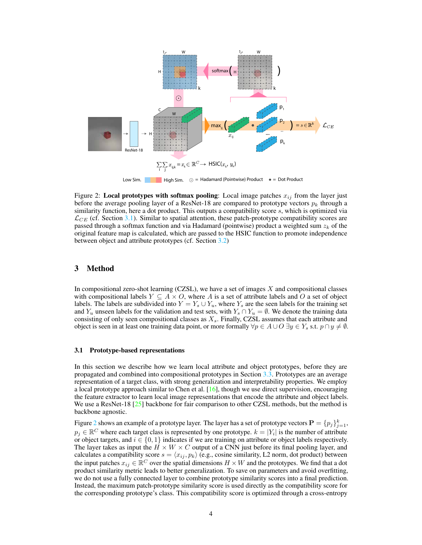<span id="page-3-1"></span>

Figure 2: Local prototypes with softmax pooling: Local image patches  $x_{ij}$  from the layer just before the average pooling layer of a ResNet-18 are compared to prototype vectors  $p_k$  through a similarity function, here a dot product. This outputs a compatibility score s, which is optimized via  $\mathcal{L}_{CE}$  (cf. Section [3.1\)](#page-3-0). Similar to spatial attention, these patch-prototype compatibility scores are passed through a softmax function and via Hadamard (pointwise) product a weighted sum  $z_k$  of the original feature map is calculated, which are passed to the HSIC function to promote independence between object and attribute prototypes (cf. Section [3.2\)](#page-4-0)

## 3 Method

In compositional zero-shot learning (CZSL), we have a set of images  $X$  and compositional classes with compositional labels  $Y \subseteq A \times O$ , where A is a set of attribute labels and O a set of object labels. The labels are subdivided into  $Y = Y_s \cup Y_u$ , where  $Y_s$  are the seen labels for the training set and Y<sub>u</sub> unseen labels for the validation and test sets, with  $Y_s \cap Y_u = \emptyset$ . We denote the training data consisting of only seen compositional classes as  $X_s$ . Finally, CZSL assumes that each attribute and object is seen in at least one training data point, or more formally  $\forall p \in A \cup O \exists y \in Y_s$  s.t.  $p \cap y \neq \emptyset$ .

#### <span id="page-3-0"></span>3.1 Prototype-based representations

In this section we describe how we learn local attribute and object prototypes, before they are propagated and combined into compositional prototypes in Section [3.3.](#page-4-1) Prototypes are an average representation of a target class, with strong generalization and interpretability properties. We employ a local prototype approach similar to Chen et al.  $[16]$ , though we use direct supervision, encouraging the feature extractor to learn local image representations that encode the attribute and object labels. We use a ResNet-18 [\[25\]](#page-11-7) backbone for fair comparison to other CZSL methods, but the method is backbone agnostic.

Figure [2](#page-3-1) shows an example of a prototype layer. The layer has a set of prototype vectors  $\mathbf{P} = \{p_j\}_{j=1}^k$ ,  $p_j \in \mathbb{R}^C$  where each target class is represented by one prototype.  $k = |Y_i|$  is the number of attribute or object targets, and  $i \in \{0, 1\}$  indicates if we are training on attribute or object labels respectively. The layer takes as input the  $H \times W \times C$  output of a CNN just before its final pooling layer, and calculates a compatibility score  $s = \langle x_{ij}, p_k \rangle$  (e.g., cosine similarity, L2 norm, dot product) between the input patches  $x_{ij} \in \mathbb{R}^C$  over the spatial dimensions  $H \times W$  and the prototypes. We find that a dot product similarity metric leads to better generalization. To save on parameters and avoid overfitting, we do not use a fully connected layer to combine prototype similarity scores into a final prediction. Instead, the maximum patch-prototype similarity score is used directly as the compatibility score for the corresponding prototype's class. This compatibility score is optimized through a cross-entropy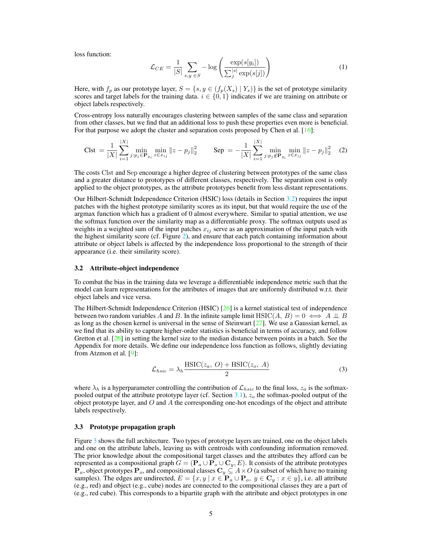loss function:

$$
\mathcal{L}_{CE} = \frac{1}{|S|} \sum_{s,y \in S} -\log \left( \frac{\exp(s[y_i])}{\sum_j^{|s|} \exp(s[j])} \right) \tag{1}
$$

Here, with  $f_p$  as our prototype layer,  $S = \{s, y \in (f_p(X_s) | Y_s) \}$  is the set of prototype similarity scores and target labels for the training data.  $i \in \{0, 1\}$  indicates if we are training on attribute or object labels respectively.

Cross-entropy loss naturally encourages clustering between samples of the same class and separation from other classes, but we find that an additional loss to push these properties even more is beneficial. For that purpose we adopt the cluster and separation costs proposed by Chen et al. [\[16\]](#page-10-15):

$$
\text{Clst} = \frac{1}{|X|} \sum_{i=1}^{|X|} \min_{j: p_j \in \mathbf{P}_{y_i}} \min_{z \in x_{ij}} \|z - p_j\|_2^2 \qquad \text{Sep} = -\frac{1}{|X|} \sum_{i=1}^{|X|} \min_{j: p_j \notin \mathbf{P}_{y_i}} \min_{z \in x_{ij}} \|z - p_j\|_2^2 \tag{2}
$$

The costs Clst and Sep encourage a higher degree of clustering between prototypes of the same class and a greater distance to prototypes of different classes, respectively. The separation cost is only applied to the object prototypes, as the attribute prototypes benefit from less distant representations.

Our Hilbert-Schmidt Independence Criterion (HSIC) loss (details in Section [3.2\)](#page-4-0) requires the input patches with the highest prototype similarity scores as its input, but that would require the use of the argmax function which has a gradient of 0 almost everywhere. Similar to spatial attention, we use the softmax function over the similarity map as a differentiable proxy. The softmax outputs used as weights in a weighted sum of the input patches  $x_{ij}$  serve as an approximation of the input patch with the highest similarity score (cf. Figure [2\)](#page-3-1), and ensure that each patch containing information about attribute or object labels is affected by the independence loss proportional to the strength of their appearance (i.e. their similarity score).

#### <span id="page-4-0"></span>3.2 Attribute-object independence

To combat the bias in the training data we leverage a differentiable independence metric such that the model can learn representations for the attributes of images that are uniformly distributed w.r.t. their object labels and vice versa.

The Hilbert-Schmidt Independence Criterion (HSIC) [\[26\]](#page-11-8) is a kernel statistical test of independence between two random variables A and B. In the infinite sample limit HSIC(A, B) =  $0 \iff A \perp \!\!\! \perp B$ as long as the chosen kernel is universal in the sense of Steinwart [\[27\]](#page-11-9). We use a Gaussian kernel, as we find that its ability to capture higher-order statistics is beneficial in terms of accuracy, and follow Gretton et al. [\[26\]](#page-11-8) in setting the kernel size to the median distance between points in a batch. See the Appendix for more details. We define our independence loss function as follows, slightly deviating from Atzmon et al. [\[9\]](#page-10-8):

$$
\mathcal{L}_{hsic} = \lambda_h \frac{\text{HSIC}(z_a, O) + \text{HSIC}(z_o, A)}{2} \tag{3}
$$

where  $\lambda_h$  is a hyperparameter controlling the contribution of  $\mathcal{L}_{hsic}$  to the final loss,  $z_a$  is the softmaxpooled output of the attribute prototype layer (cf. Section  $3.1$ ),  $z<sub>o</sub>$  the softmax-pooled output of the object prototype layer, and  $O$  and  $A$  the corresponding one-hot encodings of the object and attribute labels respectively.

## <span id="page-4-1"></span>3.3 Prototype propagation graph

Figure [3](#page-5-0) shows the full architecture. Two types of prototype layers are trained, one on the object labels and one on the attribute labels, leaving us with centroids with confounding information removed. The prior knowledge about the compositional target classes and the attributes they afford can be represented as a compositional graph  $G = (\mathbf{P}_a \cup \mathbf{P}_o \cup \mathbf{C}_y, E)$ . It consists of the attribute prototypes  ${\bf P}_a,$  object prototypes  ${\bf P}_o,$  and compositional classes  ${\bf C}_y\subseteq A\times O$  (a subset of which have no training samples). The edges are undirected,  $E = \{x, y \mid x \in \mathbf{P}_a \cup \mathbf{P}_o, y \in \mathbf{C}_y : x \in y\}$ , i.e. all attribute (e.g., red) and object (e.g., cube) nodes are connected to the compositional classes they are a part of (e.g., red cube). This corresponds to a bipartite graph with the attribute and object prototypes in one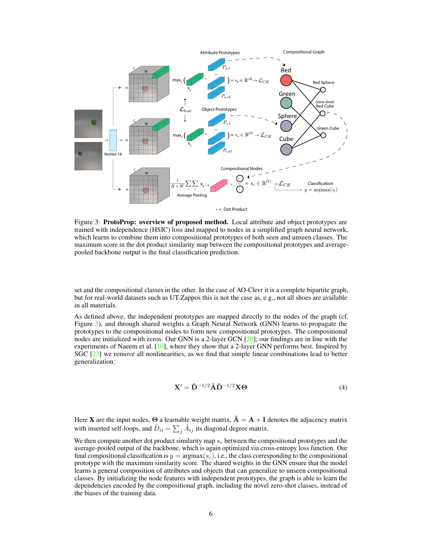<span id="page-5-0"></span>

Figure 3: ProtoProp: overview of proposed method. Local attribute and object prototypes are trained with independence (HSIC) loss and mapped to nodes in a simplified graph neural network, which learns to combine them into compositional prototypes of both seen and unseen classes. The maximum score in the dot product similarity map between the compositional prototypes and averagepooled backbone output is the final classification prediction.

set and the compositional classes in the other. In the case of AO-Clevr it is a complete bipartite graph, but for real-world datasets such as UT-Zappos this is not the case as, e.g., not all shoes are available in all materials.

As defined above, the independent prototypes are mapped directly to the nodes of the graph (cf. Figure [3\)](#page-5-0), and through shared weights a Graph Neural Network (GNN) learns to propagate the prototypes to the compositional nodes to form new compositional prototypes. The compositional nodes are initialized with zeros. Our GNN is a 2-layer GCN [\[20\]](#page-11-2); our findings are in line with the experiments of Naeem et al.  $[10]$ , where they show that a 2-layer GNN performs best. Inspired by SGC [\[23\]](#page-11-5) we remove all nonlinearities, as we find that simple linear combinations lead to better generalization:

$$
\mathbf{X}' = \hat{\mathbf{D}}^{-1/2} \hat{\mathbf{A}} \hat{\mathbf{D}}^{-1/2} \mathbf{X} \Theta
$$
(4)

Here **X** are the input nodes,  $\Theta$  a learnable weight matrix,  $\hat{A} = A + I$  denotes the adjacency matrix with inserted self-loops, and  $\hat{D}_{ii} = \sum_j \hat{A}_{ij}$  its diagonal degree matrix.

We then compute another dot product similarity map  $s_c$  between the compositional prototypes and the average-pooled output of the backbone, which is again optimized via cross-entropy loss function. Our final compositional classification is  $y = \text{argmax}(s_c)$ , i.e., the class corresponding to the compositional prototype with the maximum similarity score. The shared weights in the GNN ensure that the model learns a general composition of attributes and objects that can generalize to unseen compositional classes. By initializing the node features with independent prototypes, the graph is able to learn the dependencies encoded by the compositional graph, including the novel zero-shot classes, instead of the biases of the training data.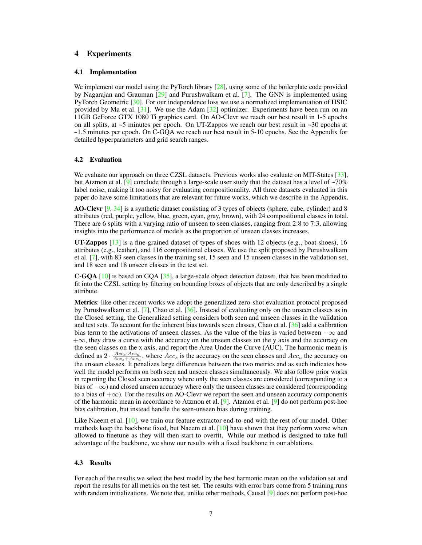## 4 Experiments

## 4.1 Implementation

We implement our model using the PyTorch library [\[28\]](#page-11-10), using some of the boilerplate code provided by Nagarajan and Grauman [\[29\]](#page-11-11) and Purushwalkam et al. [\[7\]](#page-10-6). The GNN is implemented using PyTorch Geometric [\[30\]](#page-11-12). For our independence loss we use a normalized implementation of HSIC provided by Ma et al.  $[31]$ . We use the Adam  $[32]$  optimizer. Experiments have been run on an 11GB GeForce GTX 1080 Ti graphics card. On AO-Clevr we reach our best result in 1-5 epochs on all splits, at  $\sim$ 5 minutes per epoch. On UT-Zappos we reach our best result in  $\sim$ 30 epochs at ~1.5 minutes per epoch. On C-GQA we reach our best result in 5-10 epochs. See the Appendix for detailed hyperparameters and grid search ranges.

## 4.2 Evaluation

We evaluate our approach on three CZSL datasets. Previous works also evaluate on MIT-States [\[33\]](#page-12-1), but Atzmon et al. [\[9\]](#page-10-8) conclude through a large-scale user study that the dataset has a level of ~70% label noise, making it too noisy for evaluating compositionality. All three datasets evaluated in this paper do have some limitations that are relevant for future works, which we describe in the Appendix.

AO-Clevr [\[9,](#page-10-8) [34\]](#page-12-2) is a synthetic dataset consisting of 3 types of objects (sphere, cube, cylinder) and 8 attributes (red, purple, yellow, blue, green, cyan, gray, brown), with 24 compositional classes in total. There are 6 splits with a varying ratio of unseen to seen classes, ranging from 2:8 to 7:3, allowing insights into the performance of models as the proportion of unseen classes increases.

UT-Zappos [\[13\]](#page-10-12) is a fine-grained dataset of types of shoes with 12 objects (e.g., boat shoes), 16 attributes (e.g., leather), and 116 compositional classes. We use the split proposed by Purushwalkam et al. [\[7\]](#page-10-6), with 83 seen classes in the training set, 15 seen and 15 unseen classes in the validation set, and 18 seen and 18 unseen classes in the test set.

**C-GQA** [\[10\]](#page-10-9) is based on GQA [ $35$ ], a large-scale object detection dataset, that has been modified to fit into the CZSL setting by filtering on bounding boxes of objects that are only described by a single attribute.

Metrics: like other recent works we adopt the generalized zero-shot evaluation protocol proposed by Purushwalkam et al. [\[7\]](#page-10-6), Chao et al. [\[36\]](#page-12-4). Instead of evaluating only on the unseen classes as in the Closed setting, the Generalized setting considers both seen and unseen classes in the validation and test sets. To account for the inherent bias towards seen classes, Chao et al. [\[36\]](#page-12-4) add a calibration bias term to the activations of unseen classes. As the value of the bias is varied between  $-\infty$  and  $+\infty$ , they draw a curve with the accuracy on the unseen classes on the y axis and the accuracy on the seen classes on the x axis, and report the Area Under the Curve (AUC). The harmonic mean is defined as  $2 \cdot \frac{Acc_s \cdot Acc_u}{Acc_s + Acc_u}$ , where  $Acc_s$  is the accuracy on the seen classes and  $Acc_u$  the accuracy on the unseen classes. It penalizes large differences between the two metrics and as such indicates how well the model performs on both seen and unseen classes simultaneously. We also follow prior works in reporting the Closed seen accuracy where only the seen classes are considered (corresponding to a bias of −∞) and closed unseen accuracy where only the unseen classes are considered (corresponding to a bias of  $+\infty$ ). For the results on AO-Clevr we report the seen and unseen accuracy components of the harmonic mean in accordance to Atzmon et al. [\[9\]](#page-10-8). Atzmon et al. [\[9\]](#page-10-8) do not perform post-hoc bias calibration, but instead handle the seen-unseen bias during training.

Like Naeem et al.  $[10]$ , we train our feature extractor end-to-end with the rest of our model. Other methods keep the backbone fixed, but Naeem et al.  $[10]$  have shown that they perform worse when allowed to finetune as they will then start to overfit. While our method is designed to take full advantage of the backbone, we show our results with a fixed backbone in our ablations.

#### 4.3 Results

For each of the results we select the best model by the best harmonic mean on the validation set and report the results for all metrics on the test set. The results with error bars come from 5 training runs with random initializations. We note that, unlike other methods, Causal [\[9\]](#page-10-8) does not perform post-hoc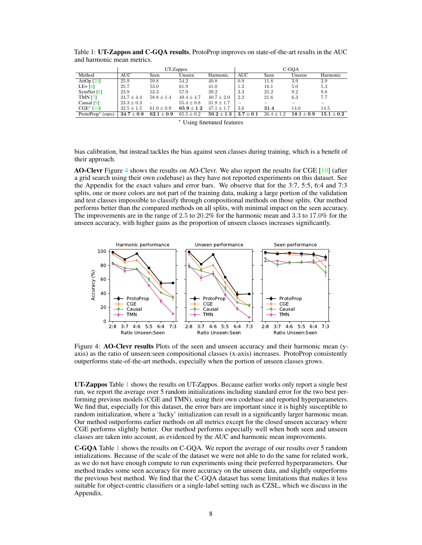|                               | UT-Zappos      |                |                | C-GOA          |               |                |              |              |
|-------------------------------|----------------|----------------|----------------|----------------|---------------|----------------|--------------|--------------|
| Method                        | AUC            | Seen           | Unseen         | Harmonic       | <b>AUC</b>    | Seen           | Unseen       | Harmonic     |
| AttOp $[29]$                  | 25.9           | 59.8           | 54.2           | 40.8           | 0.9           | 11.8           | 3.9          | 2.9          |
| LE+ $[6]$                     | 25.7           | 53.0           | 61.9           | 41.0           | $1.2\,$       | 16.1           | 5.0          | 5.3          |
| SymNet $[8]$                  | 23.9           | 53.3           | 57.9           | 39.2           | 3.3           | 25.2           | 9.2          | 9.8          |
| <b>TMN [7]</b>                | $24.7 \pm 4.4$ | $58.8 \pm 1.4$ | $49.4 \pm 4.7$ | $40.7 \pm 2.0$ | 2.2           | 21.6           | 6.3          | 7.7          |
| Causal $[9]$                  | $23.3 \pm 0.3$ | -              | $55.4 \pm 0.8$ | $31.8 \pm 1.7$ |               |                |              |              |
| $CGE* [10]$                   | $32.5 \pm 1.5$ | $61.0 \pm 0.9$ | $65.9 \pm 1.2$ | $47.1 \pm 1.7$ | 3.6           | 31.4           | 14.0         | 14.5         |
| ProtoProp <sup>*</sup> (ours) | $34.7\pm0.8$   | $62.1 \pm 0.9$ | $65.5 \pm 0.2$ | $50.2 \pm 1.3$ | $3.7 \pm 0.1$ | $26.4 \pm 1.2$ | $18.1 + 0.9$ | $15.1 + 0.2$ |

<span id="page-7-1"></span>Table 1: UT-Zappos and C-GQA results, ProtoProp improves on state-of-the-art results in the AUC and harmonic mean metrics.

<sup>∗</sup> Using finetuned features

bias calibration, but instead tackles the bias against seen classes during training, which is a benefit of their approach.

AO-Clevr Figure [4](#page-7-0) shows the results on AO-Clevr. We also report the results for CGE [\[10\]](#page-10-9) (after a grid search using their own codebase) as they have not reported experiments on this dataset. See the Appendix for the exact values and error bars. We observe that for the 3:7, 5:5, 6:4 and 7:3 splits, one or more colors are not part of the training data, making a large portion of the validation and test classes impossible to classify through compositional methods on those splits. Our method performs better than the compared methods on all splits, with minimal impact on the seen accuracy. The improvements are in the range of 2.5 to 20.2% for the harmonic mean and 3.3 to 17.0% for the unseen accuracy, with higher gains as the proportion of unseen classes increases significantly.

<span id="page-7-0"></span>

Figure 4: **AO-Clevr results** Plots of the seen and unseen accuracy and their harmonic mean (yaxis) as the ratio of unseen:seen compositional classes (x-axis) increases. ProtoProp consistently outperforms state-of-the-art methods, especially when the portion of unseen classes grows.

UT-Zappos Table [1](#page-7-1) shows the results on UT-Zappos. Because earlier works only report a single best run, we report the average over 5 random initializations including standard error for the two best performing previous models (CGE and TMN), using their own codebase and reported hyperparameters. We find that, especially for this dataset, the error bars are important since it is highly susceptible to random initialization, where a 'lucky' initialization can result in a significantly larger harmonic mean. Our method outperforms earlier methods on all metrics except for the closed unseen accuracy where CGE performs slightly better. Our method performs especially well when both seen and unseen classes are taken into account, as evidenced by the AUC and harmonic mean improvements.

C-GQA Table [1](#page-7-1) shows the results on C-GQA. We report the average of our results over 5 random intializations. Because of the scale of the dataset we were not able to do the same for related work, as we do not have enough compute to run experiments using their preferred hyperparameters. Our method trades some seen accuracy for more accuracy on the unseen data, and slightly outperforms the previous best method. We find that the C-GQA dataset has some limitations that makes it less suitable for object-centric classifiers or a single-label setting such as CZSL, which we discuss in the Appendix.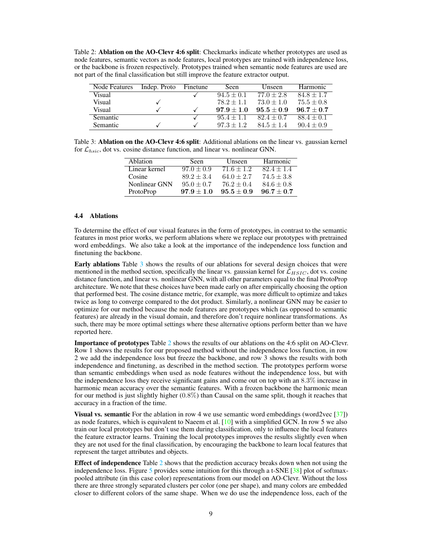<span id="page-8-1"></span>Table 2: Ablation on the AO-Clevr 4:6 split: Checkmarks indicate whether prototypes are used as node features, semantic vectors as node features, local prototypes are trained with independence loss, or the backbone is frozen respectively. Prototypes trained when semantic node features are used are not part of the final classification but still improve the feature extractor output.

| Node Features | Indep. Proto | Finetune | <b>Seen</b>    | Unseen       | <b>Harmonic</b> |
|---------------|--------------|----------|----------------|--------------|-----------------|
| Visual        |              |          | $94.5 \pm 0.1$ | $77.0 + 2.8$ | $84.8 \pm 1.7$  |
| Visual        |              |          | $78.2 + 1.1$   | $73.0 + 1.0$ | $75.5 \pm 0.8$  |
| Visual        |              |          | $97.9 + 1.0$   | $95.5 + 0.9$ | $96.7 + 0.7$    |
| Semantic      |              |          | $95.4 + 1.1$   | $82.4 + 0.7$ | $88.4 \pm 0.1$  |
| Semantic      |              |          | $97.3 + 1.2$   | $84.5 + 1.4$ | $90.4 + 0.9$    |

<span id="page-8-0"></span>Table 3: Ablation on the AO-Clevr 4:6 split: Additional ablations on the linear vs. gaussian kernel for  $\mathcal{L}_{hsic}$ , dot vs. cosine distance function, and linear vs. nonlinear GNN.

| Ablation      | Seen           | Unseen       | Harmonic       |
|---------------|----------------|--------------|----------------|
| Linear kernel | $97.0 \pm 0.9$ | $71.6 + 1.2$ | $82.4 + 1.4$   |
| Cosine        | $89.2 + 3.4$   | $64.0 + 2.7$ | $74.5 + 3.8$   |
| Nonlinear GNN | $95.0 + 0.7$   | $76.2 + 0.4$ | $84.6 \pm 0.8$ |
| ProtoProp     | $97.9 + 1.0$   | $95.5 + 0.9$ | $96.7 + 0.7$   |

## 4.4 Ablations

To determine the effect of our visual features in the form of prototypes, in contrast to the semantic features in most prior works, we perform ablations where we replace our prototypes with pretrained word embeddings. We also take a look at the importance of the independence loss function and finetuning the backbone.

Early ablations Table [3](#page-8-0) shows the results of our ablations for several design choices that were mentioned in the method section, specifically the linear vs. gaussian kernel for  $\mathcal{L}_{HSIC}$ , dot vs. cosine distance function, and linear vs. nonlinear GNN, with all other parameters equal to the final ProtoProp architecture. We note that these choices have been made early on after empirically choosing the option that performed best. The cosine distance metric, for example, was more difficult to optimize and takes twice as long to converge compared to the dot product. Similarly, a nonlinear GNN may be easier to optimize for our method because the node features are prototypes which (as opposed to semantic features) are already in the visual domain, and therefore don't require nonlinear transformations. As such, there may be more optimal settings where these alternative options perform better than we have reported here.

Importance of prototypes Table [2](#page-8-1) shows the results of our ablations on the 4:6 split on AO-Clevr. Row 1 shows the results for our proposed method without the independence loss function, in row 2 we add the independence loss but freeze the backbone, and row 3 shows the results with both independence and finetuning, as described in the method section. The prototypes perform worse than semantic embeddings when used as node features without the independence loss, but with the independence loss they receive significant gains and come out on top with an 8.3% increase in harmonic mean accuracy over the semantic features. With a frozen backbone the harmonic mean for our method is just slightly higher (0.8%) than Causal on the same split, though it reaches that accuracy in a fraction of the time.

**Visual vs. semantic** For the ablation in row 4 we use semantic word embeddings (word2vec  $\lceil 37 \rceil$ ) as node features, which is equivalent to Naeem et al.  $[10]$  with a simplified GCN. In row 5 we also train our local prototypes but don't use them during classification, only to influence the local features the feature extractor learns. Training the local prototypes improves the results slightly even when they are not used for the final classification, by encouraging the backbone to learn local features that represent the target attributes and objects.

**Effect of independence** Table [2](#page-8-1) shows that the prediction accuracy breaks down when not using the independence loss. Figure [5](#page-9-0) provides some intuition for this through a t-SNE  $[38]$  plot of softmaxpooled attribute (in this case color) representations from our model on AO-Clevr. Without the loss there are three strongly separated clusters per color (one per shape), and many colors are embedded closer to different colors of the same shape. When we do use the independence loss, each of the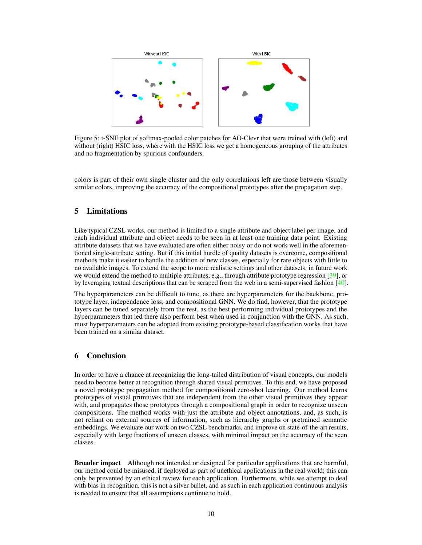<span id="page-9-0"></span>

Figure 5: t-SNE plot of softmax-pooled color patches for AO-Clevr that were trained with (left) and without (right) HSIC loss, where with the HSIC loss we get a homogeneous grouping of the attributes and no fragmentation by spurious confounders.

colors is part of their own single cluster and the only correlations left are those between visually similar colors, improving the accuracy of the compositional prototypes after the propagation step.

# 5 Limitations

Like typical CZSL works, our method is limited to a single attribute and object label per image, and each individual attribute and object needs to be seen in at least one training data point. Existing attribute datasets that we have evaluated are often either noisy or do not work well in the aforementioned single-attribute setting. But if this initial hurdle of quality datasets is overcome, compositional methods make it easier to handle the addition of new classes, especially for rare objects with little to no available images. To extend the scope to more realistic settings and other datasets, in future work we would extend the method to multiple attributes, e.g., through attribute prototype regression [\[39\]](#page-12-7), or by leveraging textual descriptions that can be scraped from the web in a semi-supervised fashion [\[40\]](#page-12-8).

The hyperparameters can be difficult to tune, as there are hyperparameters for the backbone, prototype layer, independence loss, and compositional GNN. We do find, however, that the prototype layers can be tuned separately from the rest, as the best performing individual prototypes and the hyperparameters that led there also perform best when used in conjunction with the GNN. As such, most hyperparameters can be adopted from existing prototype-based classification works that have been trained on a similar dataset.

# 6 Conclusion

In order to have a chance at recognizing the long-tailed distribution of visual concepts, our models need to become better at recognition through shared visual primitives. To this end, we have proposed a novel prototype propagation method for compositional zero-shot learning. Our method learns prototypes of visual primitives that are independent from the other visual primitives they appear with, and propagates those prototypes through a compositional graph in order to recognize unseen compositions. The method works with just the attribute and object annotations, and, as such, is not reliant on external sources of information, such as hierarchy graphs or pretrained semantic embeddings. We evaluate our work on two CZSL benchmarks, and improve on state-of-the-art results, especially with large fractions of unseen classes, with minimal impact on the accuracy of the seen classes.

**Broader impact** Although not intended or designed for particular applications that are harmful, our method could be misused, if deployed as part of unethical applications in the real world; this can only be prevented by an ethical review for each application. Furthermore, while we attempt to deal with bias in recognition, this is not a silver bullet, and as such in each application continuous analysis is needed to ensure that all assumptions continue to hold.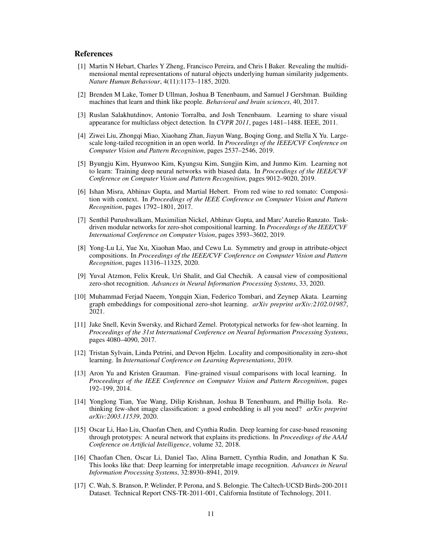## References

- <span id="page-10-0"></span>[1] Martin N Hebart, Charles Y Zheng, Francisco Pereira, and Chris I Baker. Revealing the multidimensional mental representations of natural objects underlying human similarity judgements. *Nature Human Behaviour*, 4(11):1173–1185, 2020.
- <span id="page-10-1"></span>[2] Brenden M Lake, Tomer D Ullman, Joshua B Tenenbaum, and Samuel J Gershman. Building machines that learn and think like people. *Behavioral and brain sciences*, 40, 2017.
- <span id="page-10-2"></span>[3] Ruslan Salakhutdinov, Antonio Torralba, and Josh Tenenbaum. Learning to share visual appearance for multiclass object detection. In *CVPR 2011*, pages 1481–1488. IEEE, 2011.
- <span id="page-10-3"></span>[4] Ziwei Liu, Zhongqi Miao, Xiaohang Zhan, Jiayun Wang, Boqing Gong, and Stella X Yu. Largescale long-tailed recognition in an open world. In *Proceedings of the IEEE/CVF Conference on Computer Vision and Pattern Recognition*, pages 2537–2546, 2019.
- <span id="page-10-4"></span>[5] Byungju Kim, Hyunwoo Kim, Kyungsu Kim, Sungjin Kim, and Junmo Kim. Learning not to learn: Training deep neural networks with biased data. In *Proceedings of the IEEE/CVF Conference on Computer Vision and Pattern Recognition*, pages 9012–9020, 2019.
- <span id="page-10-5"></span>[6] Ishan Misra, Abhinav Gupta, and Martial Hebert. From red wine to red tomato: Composition with context. In *Proceedings of the IEEE Conference on Computer Vision and Pattern Recognition*, pages 1792–1801, 2017.
- <span id="page-10-6"></span>[7] Senthil Purushwalkam, Maximilian Nickel, Abhinav Gupta, and Marc'Aurelio Ranzato. Taskdriven modular networks for zero-shot compositional learning. In *Proceedings of the IEEE/CVF International Conference on Computer Vision*, pages 3593–3602, 2019.
- <span id="page-10-7"></span>[8] Yong-Lu Li, Yue Xu, Xiaohan Mao, and Cewu Lu. Symmetry and group in attribute-object compositions. In *Proceedings of the IEEE/CVF Conference on Computer Vision and Pattern Recognition*, pages 11316–11325, 2020.
- <span id="page-10-8"></span>[9] Yuval Atzmon, Felix Kreuk, Uri Shalit, and Gal Chechik. A causal view of compositional zero-shot recognition. *Advances in Neural Information Processing Systems*, 33, 2020.
- <span id="page-10-9"></span>[10] Muhammad Ferjad Naeem, Yongqin Xian, Federico Tombari, and Zeynep Akata. Learning graph embeddings for compositional zero-shot learning. *arXiv preprint arXiv:2102.01987*, 2021.
- <span id="page-10-10"></span>[11] Jake Snell, Kevin Swersky, and Richard Zemel. Prototypical networks for few-shot learning. In *Proceedings of the 31st International Conference on Neural Information Processing Systems*, pages 4080–4090, 2017.
- <span id="page-10-11"></span>[12] Tristan Sylvain, Linda Petrini, and Devon Hjelm. Locality and compositionality in zero-shot learning. In *International Conference on Learning Representations*, 2019.
- <span id="page-10-12"></span>[13] Aron Yu and Kristen Grauman. Fine-grained visual comparisons with local learning. In *Proceedings of the IEEE Conference on Computer Vision and Pattern Recognition*, pages 192–199, 2014.
- <span id="page-10-13"></span>[14] Yonglong Tian, Yue Wang, Dilip Krishnan, Joshua B Tenenbaum, and Phillip Isola. Rethinking few-shot image classification: a good embedding is all you need? *arXiv preprint arXiv:2003.11539*, 2020.
- <span id="page-10-14"></span>[15] Oscar Li, Hao Liu, Chaofan Chen, and Cynthia Rudin. Deep learning for case-based reasoning through prototypes: A neural network that explains its predictions. In *Proceedings of the AAAI Conference on Artificial Intelligence*, volume 32, 2018.
- <span id="page-10-15"></span>[16] Chaofan Chen, Oscar Li, Daniel Tao, Alina Barnett, Cynthia Rudin, and Jonathan K Su. This looks like that: Deep learning for interpretable image recognition. *Advances in Neural Information Processing Systems*, 32:8930–8941, 2019.
- <span id="page-10-16"></span>[17] C. Wah, S. Branson, P. Welinder, P. Perona, and S. Belongie. The Caltech-UCSD Birds-200-2011 Dataset. Technical Report CNS-TR-2011-001, California Institute of Technology, 2011.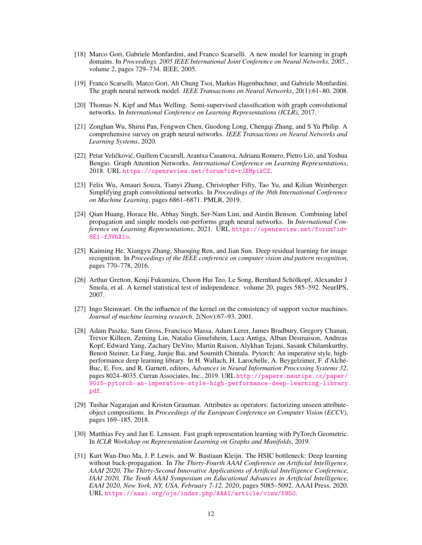- <span id="page-11-0"></span>[18] Marco Gori, Gabriele Monfardini, and Franco Scarselli. A new model for learning in graph domains. In *Proceedings. 2005 IEEE International Joint Conference on Neural Networks, 2005.*, volume 2, pages 729–734. IEEE, 2005.
- <span id="page-11-1"></span>[19] Franco Scarselli, Marco Gori, Ah Chung Tsoi, Markus Hagenbuchner, and Gabriele Monfardini. The graph neural network model. *IEEE Transactions on Neural Networks*, 20(1):61–80, 2008.
- <span id="page-11-2"></span>[20] Thomas N. Kipf and Max Welling. Semi-supervised classification with graph convolutional networks. In *International Conference on Learning Representations (ICLR)*, 2017.
- <span id="page-11-3"></span>[21] Zonghan Wu, Shirui Pan, Fengwen Chen, Guodong Long, Chengqi Zhang, and S Yu Philip. A comprehensive survey on graph neural networks. *IEEE Transactions on Neural Networks and Learning Systems*, 2020.
- <span id="page-11-4"></span>[22] Petar Veličković, Guillem Cucurull, Arantxa Casanova, Adriana Romero, Pietro Liò, and Yoshua Bengio. Graph Attention Networks. *International Conference on Learning Representations*, 2018. URL <https://openreview.net/forum?id=rJXMpikCZ>.
- <span id="page-11-5"></span>[23] Felix Wu, Amauri Souza, Tianyi Zhang, Christopher Fifty, Tao Yu, and Kilian Weinberger. Simplifying graph convolutional networks. In *Proceedings of the 36th International Conference on Machine Learning*, pages 6861–6871. PMLR, 2019.
- <span id="page-11-6"></span>[24] Qian Huang, Horace He, Abhay Singh, Ser-Nam Lim, and Austin Benson. Combining label propagation and simple models out-performs graph neural networks. In *International Conference on Learning Representations*, 2021. URL [https://openreview.net/forum?id=](https://openreview.net/forum?id=8E1-f3VhX1o) [8E1-f3VhX1o](https://openreview.net/forum?id=8E1-f3VhX1o).
- <span id="page-11-7"></span>[25] Kaiming He, Xiangyu Zhang, Shaoqing Ren, and Jian Sun. Deep residual learning for image recognition. In *Proceedings of the IEEE conference on computer vision and pattern recognition*, pages 770–778, 2016.
- <span id="page-11-8"></span>[26] Arthur Gretton, Kenji Fukumizu, Choon Hui Teo, Le Song, Bernhard Schölkopf, Alexander J Smola, et al. A kernel statistical test of independence. volume 20, pages 585–592. NeurIPS, 2007.
- <span id="page-11-9"></span>[27] Ingo Steinwart. On the influence of the kernel on the consistency of support vector machines. *Journal of machine learning research*, 2(Nov):67–93, 2001.
- <span id="page-11-10"></span>[28] Adam Paszke, Sam Gross, Francisco Massa, Adam Lerer, James Bradbury, Gregory Chanan, Trevor Killeen, Zeming Lin, Natalia Gimelshein, Luca Antiga, Alban Desmaison, Andreas Kopf, Edward Yang, Zachary DeVito, Martin Raison, Alykhan Tejani, Sasank Chilamkurthy, Benoit Steiner, Lu Fang, Junjie Bai, and Soumith Chintala. Pytorch: An imperative style, highperformance deep learning library. In H. Wallach, H. Larochelle, A. Beygelzimer, F. d'Alché-Buc, E. Fox, and R. Garnett, editors, *Advances in Neural Information Processing Systems 32*, pages 8024–8035. Curran Associates, Inc., 2019. URL [http://papers.neurips.cc/paper/](http://papers.neurips.cc/paper/9015-pytorch-an-imperative-style-high-performance-deep-learning-library.pdf) [9015-pytorch-an-imperative-style-high-performance-deep-learning-library.](http://papers.neurips.cc/paper/9015-pytorch-an-imperative-style-high-performance-deep-learning-library.pdf) [pdf](http://papers.neurips.cc/paper/9015-pytorch-an-imperative-style-high-performance-deep-learning-library.pdf).
- <span id="page-11-11"></span>[29] Tushar Nagarajan and Kristen Grauman. Attributes as operators: factorizing unseen attributeobject compositions. In *Proceedings of the European Conference on Computer Vision (ECCV)*, pages 169–185, 2018.
- <span id="page-11-12"></span>[30] Matthias Fey and Jan E. Lenssen. Fast graph representation learning with PyTorch Geometric. In *ICLR Workshop on Representation Learning on Graphs and Manifolds*, 2019.
- <span id="page-11-13"></span>[31] Kurt Wan-Duo Ma, J. P. Lewis, and W. Bastiaan Kleijn. The HSIC bottleneck: Deep learning without back-propagation. In *The Thirty-Fourth AAAI Conference on Artificial Intelligence, AAAI 2020, The Thirty-Second Innovative Applications of Artificial Intelligence Conference, IAAI 2020, The Tenth AAAI Symposium on Educational Advances in Artificial Intelligence, EAAI 2020, New York, NY, USA, February 7-12, 2020*, pages 5085–5092. AAAI Press, 2020. URL <https://aaai.org/ojs/index.php/AAAI/article/view/5950>.